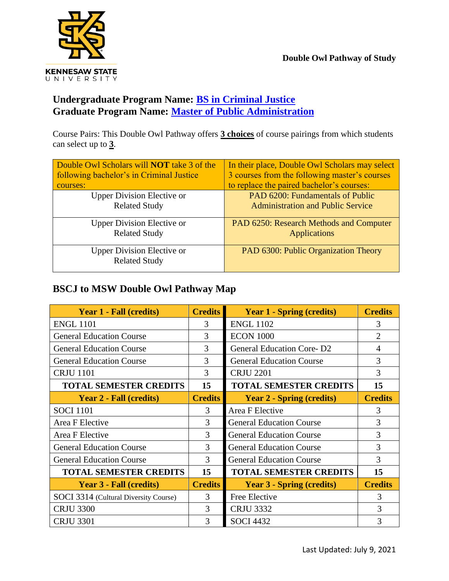

## **Undergraduate Program Name: [BS in Criminal Justice](http://catalog.kennesaw.edu/preview_program.php?catoid=51&poid=5944&hl=criminal+justice&returnto=search) Graduate Program Name: [Master of Public Administration](http://catalog.kennesaw.edu/preview_program.php?catoid=50&poid=5790&hl=mpa&returnto=search)**

Course Pairs: This Double Owl Pathway offers **3 choices** of course pairings from which students can select up to **3**.

| Double Owl Scholars will <b>NOT</b> take 3 of the         | In their place, Double Owl Scholars may select |
|-----------------------------------------------------------|------------------------------------------------|
| following bachelor's in Criminal Justice                  | 3 courses from the following master's courses  |
| courses:                                                  | to replace the paired bachelor's courses:      |
| <b>Upper Division Elective or</b>                         | PAD 6200: Fundamentals of Public               |
| <b>Related Study</b>                                      | <b>Administration and Public Service</b>       |
| <b>Upper Division Elective or</b>                         | PAD 6250: Research Methods and Computer        |
| <b>Related Study</b>                                      | <b>Applications</b>                            |
| <b>Upper Division Elective or</b><br><b>Related Study</b> | PAD 6300: Public Organization Theory           |

## **BSCJ to MSW Double Owl Pathway Map**

| <b>Year 1 - Fall (credits)</b>        | <b>Credits</b> | <b>Year 1 - Spring (credits)</b> | <b>Credits</b> |
|---------------------------------------|----------------|----------------------------------|----------------|
| <b>ENGL 1101</b>                      | $\mathcal{R}$  | <b>ENGL 1102</b>                 | 3              |
| <b>General Education Course</b>       | 3              | <b>ECON 1000</b>                 | $\overline{2}$ |
| <b>General Education Course</b>       | 3              | <b>General Education Core-D2</b> | 4              |
| <b>General Education Course</b>       | 3              | <b>General Education Course</b>  | 3              |
| <b>CRJU 1101</b>                      | 3              | <b>CRJU 2201</b>                 | 3              |
| <b>TOTAL SEMESTER CREDITS</b>         | 15             | <b>TOTAL SEMESTER CREDITS</b>    | 15             |
| <b>Year 2 - Fall (credits)</b>        | <b>Credits</b> | <b>Year 2 - Spring (credits)</b> | <b>Credits</b> |
| <b>SOCI</b> 1101                      | 3              | Area F Elective                  | 3              |
| Area F Elective                       | 3              | <b>General Education Course</b>  | 3              |
| Area F Elective                       | 3              | <b>General Education Course</b>  | 3              |
| <b>General Education Course</b>       | 3              | <b>General Education Course</b>  | 3              |
| <b>General Education Course</b>       | 3              | <b>General Education Course</b>  | 3              |
| <b>TOTAL SEMESTER CREDITS</b>         | 15             | <b>TOTAL SEMESTER CREDITS</b>    | 15             |
| <b>Year 3 - Fall (credits)</b>        | <b>Credits</b> | <b>Year 3 - Spring (credits)</b> | <b>Credits</b> |
| SOCI 3314 (Cultural Diversity Course) | 3              | Free Elective                    | 3              |
| <b>CRJU 3300</b>                      | 3              | <b>CRJU 3332</b>                 | 3              |
| <b>CRJU 3301</b>                      | 3              | <b>SOCI 4432</b>                 | 3              |